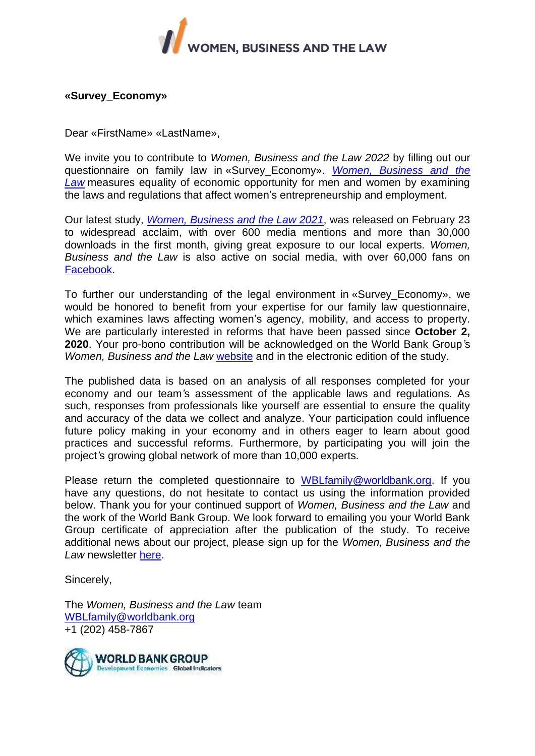

### **«Survey\_Economy»**

Dear «FirstName» «LastName»,

We invite you to contribute to *Women, Business and the Law 2022* by filling out our questionnaire on family law in «Survey\_Economy». *[Women, Business and the](http://wbl.worldbank.org/)  [Law](http://wbl.worldbank.org/)* measures equality of economic opportunity for men and women by examining the laws and regulations that affect women's entrepreneurship and employment.

Our latest study, *[Women, Business and the Law 2021](http://openknowledge.worldbank.org/bitstream/handle/10986/35094/9781464816529.pdf)*, was released on February 23 to widespread acclaim, with over 600 media mentions and more than 30,000 downloads in the first month, giving great exposure to our local experts. *Women, Business and the Law* is also active on social media, with over 60,000 fans on [Facebook.](http://www.facebook.com/womenbusinesslaw/)

To further our understanding of the legal environment in «Survey\_Economy», we would be honored to benefit from your expertise for our family law questionnaire, which examines laws affecting women's agency, mobility, and access to property. We are particularly interested in reforms that have been passed since **October 2, 2020**. Your pro-bono contribution will be acknowledged on the World Bank Group*'*s *Women, Business and the Law* [website](http://wbl.worldbank.org/local-experts) and in the electronic edition of the study.

The published data is based on an analysis of all responses completed for your economy and our team*'*s assessment of the applicable laws and regulations. As such, responses from professionals like yourself are essential to ensure the quality and accuracy of the data we collect and analyze. Your participation could influence future policy making in your economy and in others eager to learn about good practices and successful reforms. Furthermore, by participating you will join the project*'*s growing global network of more than 10,000 experts.

Please return the completed questionnaire to [WBLfamily@worldbank.org.](mailto:WBLfamily@worldbank.org) If you have any questions, do not hesitate to contact us using the information provided below. Thank you for your continued support of *Women, Business and the Law* and the work of the World Bank Group. We look forward to emailing you your World Bank Group certificate of appreciation after the publication of the study. To receive additional news about our project, please sign up for the *Women, Business and the*  Law newsletter [here.](http://www.worldbank.org/en/newsletter-subscription?wbl=true)

Sincerely,

The *Women, Business and the Law* team [WBLfamily@worldbank.org](mailto:WBLfamily@worldbank.org) +1 (202) 458-7867

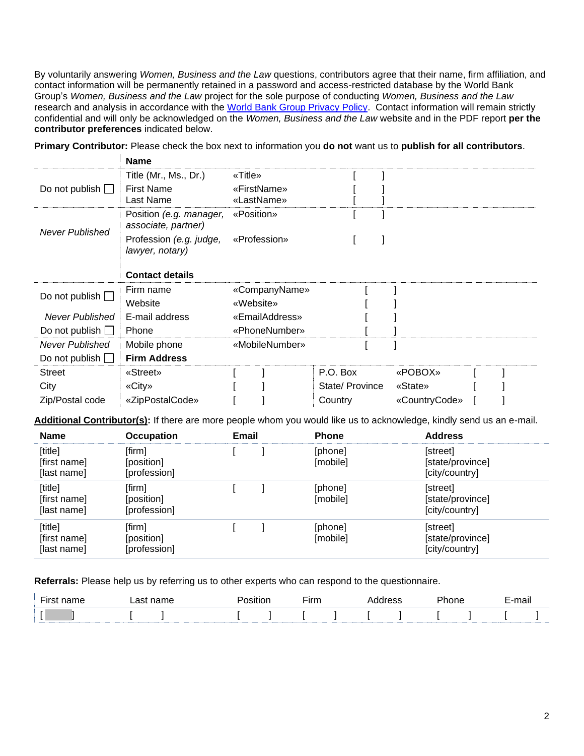By voluntarily answering *Women, Business and the Law* questions, contributors agree that their name, firm affiliation, and contact information will be permanently retained in a password and access-restricted database by the World Bank Group's *Women, Business and the Law* project for the sole purpose of conducting *Women, Business and the Law* research and analysis in accordance with the [World Bank Group Privacy Policy.](https://ppfdocuments.azureedge.net/ca36fdc4-5191-4d89-a49d-6189a98bad86.pdf) Contact information will remain strictly confidential and will only be acknowledged on the *Women, Business and the Law* website and in the PDF report **per the contributor preferences** indicated below.

|                          | <b>Name</b>                                    |                |                |               |  |
|--------------------------|------------------------------------------------|----------------|----------------|---------------|--|
|                          | Title (Mr., Ms., Dr.)                          | «Title»        |                |               |  |
| Do not publish $\square$ | <b>First Name</b>                              | «FirstName»    |                |               |  |
|                          | Last Name                                      | «LastName»     |                |               |  |
| <b>Never Published</b>   | Position (e.g. manager,<br>associate, partner) | «Position»     |                |               |  |
|                          | Profession (e.g. judge,<br>lawyer, notary)     | «Profession»   |                |               |  |
|                          | <b>Contact details</b>                         |                |                |               |  |
| Do not publish $\square$ | Firm name                                      | «CompanyName»  |                |               |  |
|                          | Website                                        | «Website»      |                |               |  |
| Never Published          | E-mail address                                 | «EmailAddress» |                |               |  |
| Do not publish $\Box$    | Phone                                          | «PhoneNumber»  |                |               |  |
| <b>Never Published</b>   | Mobile phone                                   | «MobileNumber» |                |               |  |
| Do not publish $\Box$    | <b>Firm Address</b>                            |                |                |               |  |
| <b>Street</b>            | «Street»                                       |                | P.O. Box       | «POBOX»       |  |
| City                     | «City»                                         |                | State/Province | «State»       |  |
| Zip/Postal code          | «ZipPostalCode»                                |                | Country        | «CountryCode» |  |

**Primary Contributor:** Please check the box next to information you **do not** want us to **publish for all contributors**.

**Additional Contributor(s):** If there are more people whom you would like us to acknowledge, kindly send us an e-mail.

| <b>Name</b>                            | <b>Occupation</b>                    | <b>Email</b> | <b>Phone</b>        | <b>Address</b>                                 |
|----------------------------------------|--------------------------------------|--------------|---------------------|------------------------------------------------|
| [title]<br>[first name]<br>[last name] | [firm]<br>[position]<br>[profession] |              | [phone]<br>[mobile] | [street]<br>[state/province]<br>[city/country] |
| [title]<br>[first name]<br>[last name] | [firm]<br>[position]<br>[profession] |              | [phone]<br>[mobile] | [street]<br>[state/province]<br>[city/country] |
| [title]<br>[first name]<br>[last name] | [firm]<br>[position]<br>[profession] |              | [phone]<br>[mobile] | [street]<br>[state/province]<br>[city/country] |

**Referrals:** Please help us by referring us to other experts who can respond to the questionnaire.

| $-$ |  |  | ----<br>шш |  |  |  |  |
|-----|--|--|------------|--|--|--|--|
|     |  |  |            |  |  |  |  |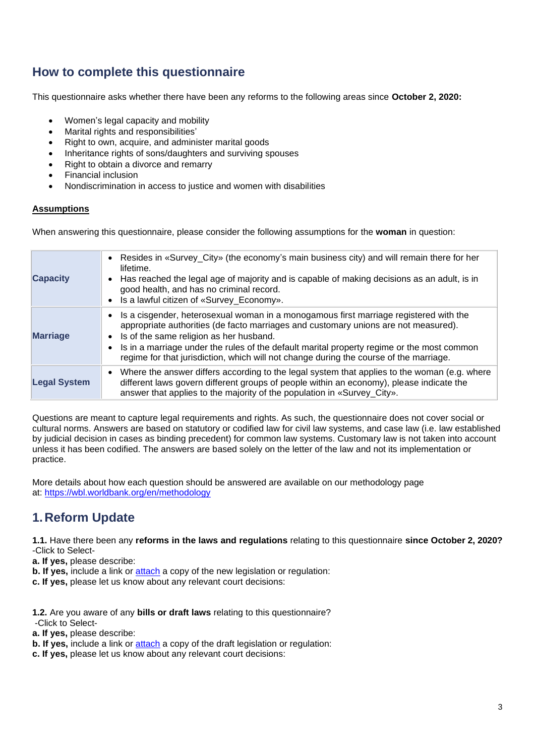## **How to complete this questionnaire**

This questionnaire asks whether there have been any reforms to the following areas since **October 2, 2020:**

- Women's legal capacity and mobility
- Marital rights and responsibilities'
- Right to own, acquire, and administer marital goods
- Inheritance rights of sons/daughters and surviving spouses
- Right to obtain a divorce and remarry
- Financial inclusion
- Nondiscrimination in access to justice and women with disabilities

### **[Assumptions](%20)**

When answering this questionnaire, please consider the following assumptions for the **woman** in question:

| <b>Capacity</b>     | • Resides in «Survey_City» (the economy's main business city) and will remain there for her<br>lifetime.<br>Has reached the legal age of majority and is capable of making decisions as an adult, is in<br>good health, and has no criminal record.<br>Is a lawful citizen of «Survey_Economy».                                                                                                                 |
|---------------------|-----------------------------------------------------------------------------------------------------------------------------------------------------------------------------------------------------------------------------------------------------------------------------------------------------------------------------------------------------------------------------------------------------------------|
| <b>Marriage</b>     | Is a cisgender, heterosexual woman in a monogamous first marriage registered with the<br>appropriate authorities (de facto marriages and customary unions are not measured).<br>Is of the same religion as her husband.<br>Is in a marriage under the rules of the default marital property regime or the most common<br>regime for that jurisdiction, which will not change during the course of the marriage. |
| <b>Legal System</b> | Where the answer differs according to the legal system that applies to the woman (e.g. where<br>$\bullet$<br>different laws govern different groups of people within an economy), please indicate the<br>answer that applies to the majority of the population in «Survey_City».                                                                                                                                |

Questions are meant to capture legal requirements and rights. As such, the questionnaire does not cover social or cultural norms. Answers are based on statutory or codified law for civil law systems, and case law (i.e. law established by judicial decision in cases as binding precedent) for common law systems. Customary law is not taken into account unless it has been codified. The answers are based solely on the letter of the law and not its implementation or practice.

More details about how each question should be answered are available on our methodology page at: [https://wbl.worldbank.org/en/methodology](http://wbl.worldbank.org/en/methodology)

### **1.Reform Update**

**1.1.** Have there been any **reforms in the laws and regulations** relating to this questionnaire **since October 2, 2020?** -Click to Select-

**a. If yes,** please describe:

**b. If yes,** include a link or **[attach](mailto:wblfamily@worldbank.org)** a copy of the new legislation or regulation:

**c. If yes,** please let us know about any relevant court decisions:

**1.2.** Are you aware of any **bills or draft laws** relating to this questionnaire?

-Click to Select-

**a. If yes,** please describe:

**b. If yes, include a link or [attach](mailto:wblfamily@worldbank.org) a copy of the draft legislation or regulation:** 

**c. If yes,** please let us know about any relevant court decisions: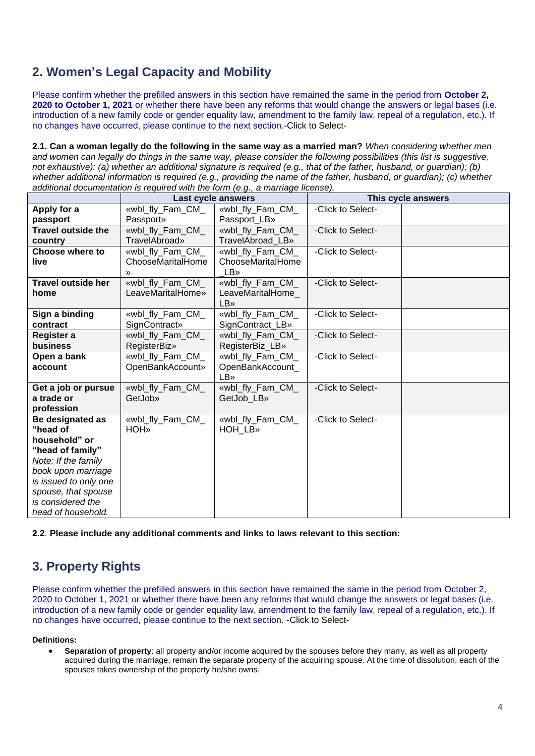## **2. Women's Legal Capacity and Mobility**

Please confirm whether the prefilled answers in this section have remained the same in the period from **October 2, 2020 to October 1, 2021** or whether there have been any reforms that would change the answers or legal bases (i.e. introduction of a new family code or gender equality law, amendment to the family law, repeal of a regulation, etc.). If no changes have occurred, please continue to the next section.-Click to Select-

**2.1. Can a woman legally do the following in the same way as a married man?** *When considering whether men*  and women can legally do things in the same way, please consider the following possibilities (this list is suggestive, *not exhaustive): (a) whether an additional signature is required (e.g., that of the father, husband, or guardian); (b) whether additional information is required (e.g., providing the name of the father, husband, or guardian); (c) whether additional documentation is required with the form (e.g., a marriage license).*

|                           |                       | Last cycle answers | This cycle answers |  |  |
|---------------------------|-----------------------|--------------------|--------------------|--|--|
| Apply for a               | «wbl_fly_Fam_CM_      | «wbl_fly_Fam_CM_   | -Click to Select-  |  |  |
| passport                  | <b>Passport</b> »     | Passport_LB»       |                    |  |  |
| <b>Travel outside the</b> | «wbl_fly_Fam_CM_      | «wbl_fly_Fam_CM_   | -Click to Select-  |  |  |
| country                   | TravelAbroad»         | TravelAbroad LB»   |                    |  |  |
| <b>Choose where to</b>    | «wbl_fly_Fam_CM_      | «wbl fly Fam CM    | -Click to Select-  |  |  |
| live                      | ChooseMaritalHome     | ChooseMaritalHome  |                    |  |  |
|                           | $\mathcal{P}$         | <b>LB</b> »        |                    |  |  |
| <b>Travel outside her</b> | «wbl_fly_Fam_CM_      | «wbl_fly_Fam_CM_   | -Click to Select-  |  |  |
| home                      | LeaveMaritalHome»     | LeaveMaritalHome_  |                    |  |  |
|                           |                       | <b>LB</b> »        |                    |  |  |
| Sign a binding            | «wbl_fly_Fam_CM_      | «wbl_fly_Fam_CM_   | -Click to Select-  |  |  |
| contract                  | <b>SignContract</b> » | SignContract_LB»   |                    |  |  |
| Register a                | «wbl fly Fam CM       | «wbl fly Fam CM    | -Click to Select-  |  |  |
| business                  | <b>RegisterBiz</b> »  | RegisterBiz LB»    |                    |  |  |
| Open a bank               | «wbl_fly_Fam_CM_      | «wbl_fly_Fam_CM_   | -Click to Select-  |  |  |
| account                   | OpenBankAccount»      | OpenBankAccount_   |                    |  |  |
|                           |                       | LB»                |                    |  |  |
| Get a job or pursue       | «wbl fly Fam CM       | «wbl fly Fam CM    | -Click to Select-  |  |  |
| a trade or                | GetJob»               | GetJob LB»         |                    |  |  |
| profession                |                       |                    |                    |  |  |
| Be designated as          | «wbl_fly_Fam_CM_      | «wbl_fly_Fam_CM_   | -Click to Select-  |  |  |
| "head of                  | <b>HOH</b>            | HOH LB»            |                    |  |  |
| household" or             |                       |                    |                    |  |  |
| "head of family"          |                       |                    |                    |  |  |
| Note: If the family       |                       |                    |                    |  |  |
| book upon marriage        |                       |                    |                    |  |  |
| is issued to only one     |                       |                    |                    |  |  |
| spouse, that spouse       |                       |                    |                    |  |  |
| is considered the         |                       |                    |                    |  |  |
| head of household.        |                       |                    |                    |  |  |

**2.2**. **Please include any additional comments and links to laws relevant to this section:**

# **3. Property Rights**

Please confirm whether the prefilled answers in this section have remained the same in the period from October 2, 2020 to October 1, 2021 or whether there have been any reforms that would change the answers or legal bases (i.e. introduction of a new family code or gender equality law, amendment to the family law, repeal of a regulation, etc.). If no changes have occurred, please continue to the next section. -Click to Select-

#### **Definitions:**

• **Separation of property**: all property and/or income acquired by the spouses before they marry, as well as all property acquired during the marriage, remain the separate property of the acquiring spouse. At the time of dissolution, each of the spouses takes ownership of the property he/she owns.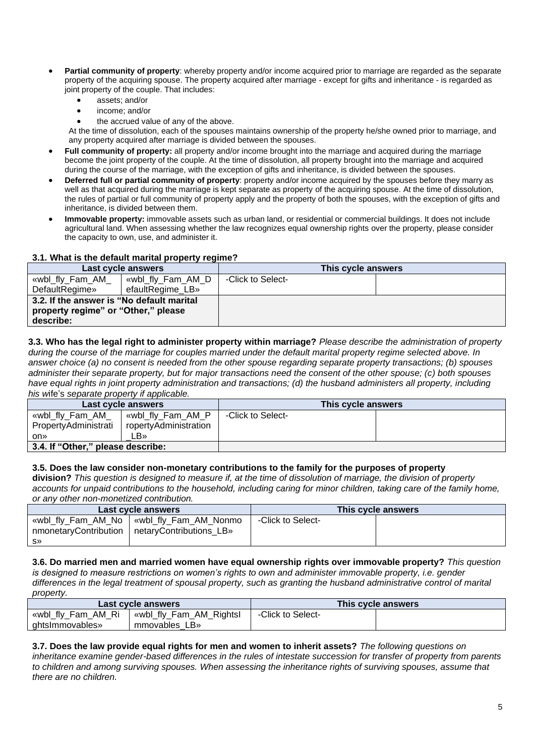- **Partial community of property**: whereby property and/or income acquired prior to marriage are regarded as the separate property of the acquiring spouse. The property acquired after marriage - except for gifts and inheritance - is regarded as joint property of the couple. That includes:
	- assets; and/or
	- income; and/or
	- the accrued value of any of the above.

At the time of dissolution, each of the spouses maintains ownership of the property he/she owned prior to marriage, and any property acquired after marriage is divided between the spouses.

- **Full community of property:** all property and/or income brought into the marriage and acquired during the marriage become the joint property of the couple. At the time of dissolution, all property brought into the marriage and acquired during the course of the marriage, with the exception of gifts and inheritance, is divided between the spouses.
- **Deferred full or partial community of property**: property and/or income acquired by the spouses before they marry as well as that acquired during the marriage is kept separate as property of the acquiring spouse. At the time of dissolution, the rules of partial or full community of property apply and the property of both the spouses, with the exception of gifts and inheritance, is divided between them.
- **Immovable property:** immovable assets such as urban land, or residential or commercial buildings. It does not include agricultural land. When assessing whether the law recognizes equal ownership rights over the property, please consider the capacity to own, use, and administer it.

### **3.1. What is the default marital property regime?**

| Last cycle answers                                                                            |                   | This cycle answers |  |
|-----------------------------------------------------------------------------------------------|-------------------|--------------------|--|
| «wbl_fly_Fam_AM_                                                                              | wwbl_fly_Fam_AM_D | -Click to Select-  |  |
| DefaultRegime»                                                                                | efaultRegime LB»  |                    |  |
| 3.2. If the answer is "No default marital<br>property regime" or "Other," please<br>describe: |                   |                    |  |

**3.3. Who has the legal right to administer property within marriage?** *Please describe the administration of property during the course of the marriage for couples married under the default marital property regime selected above. In answer choice (a) no consent is needed from the other spouse regarding separate property transactions; (b) spouses administer their separate property, but for major transactions need the consent of the other spouse; (c) both spouses have equal rights in joint property administration and transactions; (d) the husband administers all property, including his w*ife's *separate property if applicable.*

| Last cycle answers                |                       | This cycle answers |  |
|-----------------------------------|-----------------------|--------------------|--|
| «wbl_fly_Fam_AM_                  | wbl_fly_Fam_AM_P>     | -Click to Select-  |  |
| PropertyAdministrati              | ropertyAdministration |                    |  |
| on»                               | LB»                   |                    |  |
| 3.4. If "Other," please describe: |                       |                    |  |

### **3.5. Does the law consider non-monetary contributions to the family for the purposes of property**

**division?** *This question is designed to measure if, at the time of dissolution of marriage, the division of property accounts for unpaid contributions to the household, including caring for minor children, taking care of the family home, or any other non-monetized contribution.*

| .                  |                                                                                               |                    |  |  |  |  |
|--------------------|-----------------------------------------------------------------------------------------------|--------------------|--|--|--|--|
| Last cycle answers |                                                                                               | This cycle answers |  |  |  |  |
| <b>S»</b>          | «wbl_fly_Fam_AM_No   «wbl_fly_Fam_AM_Nonmo<br>nmonetaryContribution   netaryContributions LB» | -Click to Select-  |  |  |  |  |

**3.6. Do married men and married women have equal ownership rights over immovable property?** *This question is designed to measure restrictions on women's rights to own and administer immovable property, i.e. gender differences in the legal treatment of spousal property, such as granting the husband administrative control of marital property.*

|                    | Last cycle answers      | This cycle answers |  |  |
|--------------------|-------------------------|--------------------|--|--|
| «wbl_fly_Fam_AM_Ri | wbl_fly_Fam_AM_Rightsl> | -Click to Select-  |  |  |
| ahtsimmovables»    | LB»<br>mmovables        |                    |  |  |

**3.7. Does the law provide equal rights for men and women to inherit assets?** *The following questions on inheritance examine gender-based differences in the rules of intestate succession for transfer of property from parents to children and among surviving spouses. When assessing the inheritance rights of surviving spouses, assume that there are no children.*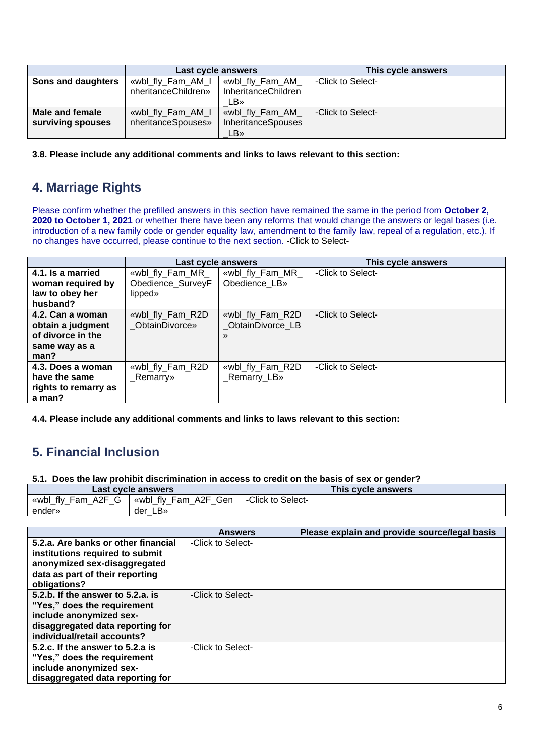|                    | Last cycle answers  |                           | This cycle answers |  |  |
|--------------------|---------------------|---------------------------|--------------------|--|--|
| Sons and daughters | «wbl_fly_Fam_AM_I   | «wbl_fly_Fam_AM_          | -Click to Select-  |  |  |
|                    | nheritanceChildren» | InheritanceChildren       |                    |  |  |
|                    |                     | LB»                       |                    |  |  |
| Male and female    | «wbl_fly_Fam_AM_I   | «wbl_fly_Fam_AM_          | -Click to Select-  |  |  |
| surviving spouses  | nheritanceSpouses»  | <b>InheritanceSpouses</b> |                    |  |  |
|                    |                     | LB»                       |                    |  |  |

**3.8. Please include any additional comments and links to laws relevant to this section:**

## **4. Marriage Rights**

Please confirm whether the prefilled answers in this section have remained the same in the period from **October 2, 2020 to October 1, 2021** or whether there have been any reforms that would change the answers or legal bases (i.e. introduction of a new family code or gender equality law, amendment to the family law, repeal of a regulation, etc.). If no changes have occurred, please continue to the next section. -Click to Select-

|                                                                                     | Last cycle answers                               |                                                       | This cycle answers |  |
|-------------------------------------------------------------------------------------|--------------------------------------------------|-------------------------------------------------------|--------------------|--|
| 4.1. Is a married<br>woman required by<br>law to obey her<br>husband?               | «wbl_fly_Fam_MR_<br>Obedience_SurveyF<br>lipped» | «wbl_fly_Fam_MR_<br>Obedience LB»                     | -Click to Select-  |  |
| 4.2. Can a woman<br>obtain a judgment<br>of divorce in the<br>same way as a<br>man? | «wbl_fly_Fam_R2D<br><b>ObtainDivorce</b> »       | «wbl_fly_Fam_R2D<br>ObtainDivorce LB<br>$\mathcal{V}$ | -Click to Select-  |  |
| 4.3. Does a woman<br>have the same<br>rights to remarry as<br>a man?                | «wbl_fly_Fam_R2D<br>_Remarry»                    | «wbl_fly_Fam_R2D<br>_Remarry_LB»                      | -Click to Select-  |  |

**4.4. Please include any additional comments and links to laws relevant to this section:**

## **5. Financial Inclusion**

**5.1. Does the law prohibit discrimination in access to credit on the basis of sex or gender?**

|                    | Last cycle answers   | This cycle answers |  |  |
|--------------------|----------------------|--------------------|--|--|
| «wbl_fly_Fam_A2F_G | «wbl_fly_Fam_A2F_Gen | -Click to Select-  |  |  |
| ender»             | ∟B»<br>der           |                    |  |  |

|                                                                                                                                                                | <b>Answers</b>    | Please explain and provide source/legal basis |
|----------------------------------------------------------------------------------------------------------------------------------------------------------------|-------------------|-----------------------------------------------|
| 5.2.a. Are banks or other financial<br>institutions required to submit<br>anonymized sex-disaggregated<br>data as part of their reporting<br>obligations?      | -Click to Select- |                                               |
| 5.2.b. If the answer to 5.2.a. is<br>"Yes," does the requirement<br>include anonymized sex-<br>disaggregated data reporting for<br>individual/retail accounts? | -Click to Select- |                                               |
| 5.2.c. If the answer to 5.2.a is<br>"Yes," does the requirement<br>include anonymized sex-<br>disaggregated data reporting for                                 | -Click to Select- |                                               |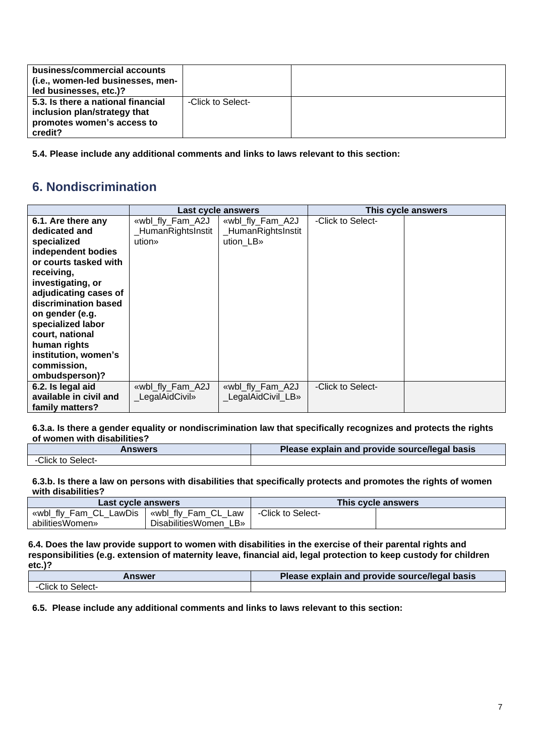| business/commercial accounts<br>(i.e., women-led businesses, men-<br>led businesses, etc.)?                 |                   |  |
|-------------------------------------------------------------------------------------------------------------|-------------------|--|
| 5.3. Is there a national financial<br>inclusion plan/strategy that<br>promotes women's access to<br>credit? | -Click to Select- |  |

**5.4. Please include any additional comments and links to laws relevant to this section:**

### **6. Nondiscrimination**

|                                                                                                                                                                                                                                                                                                                           | Last cycle answers                              |                                                     | This cycle answers |  |
|---------------------------------------------------------------------------------------------------------------------------------------------------------------------------------------------------------------------------------------------------------------------------------------------------------------------------|-------------------------------------------------|-----------------------------------------------------|--------------------|--|
| 6.1. Are there any<br>dedicated and<br>specialized<br>independent bodies<br>or courts tasked with<br>receiving,<br>investigating, or<br>adjudicating cases of<br>discrimination based<br>on gender (e.g.<br>specialized labor<br>court, national<br>human rights<br>institution, women's<br>commission,<br>ombudsperson)? | «wbl_fly_Fam_A2J<br>HumanRightsInstit<br>ution» | «wbl_fly_Fam_A2J<br>_HumanRightsInstit<br>ution LB» | -Click to Select-  |  |
| 6.2. Is legal aid<br>available in civil and<br>family matters?                                                                                                                                                                                                                                                            | «wbl_fly_Fam_A2J<br>LegalAidCivil»              | «wbl_fly_Fam_A2J<br>LegalAidCivil LB»               | -Click to Select-  |  |

#### **6.3.a. Is there a gender equality or nondiscrimination law that specifically recognizes and protects the rights of women with disabilities?**

| Answers          | Please explain and provide source/legal basis |
|------------------|-----------------------------------------------|
| Click to Select- |                                               |

### **6.3.b. Is there a law on persons with disabilities that specifically protects and promotes the rights of women with disabilities?**

| Last cycle answers     |                       |                   | This cycle answers |
|------------------------|-----------------------|-------------------|--------------------|
| «wbl_fly_Fam_CL_LawDis | wbl_fly_Fam_CL_Law    | -Click to Select- |                    |
| abilitiesWomen»        | DisabilitiesWomen LB» |                   |                    |

**6.4. Does the law provide support to women with disabilities in the exercise of their parental rights and responsibilities (e.g. extension of maternity leave, financial aid, legal protection to keep custody for children etc.)?**

| Answer            | Please explain and provide source/legal basis |
|-------------------|-----------------------------------------------|
| -Click to Select- |                                               |

**6.5. Please include any additional comments and links to laws relevant to this section:**